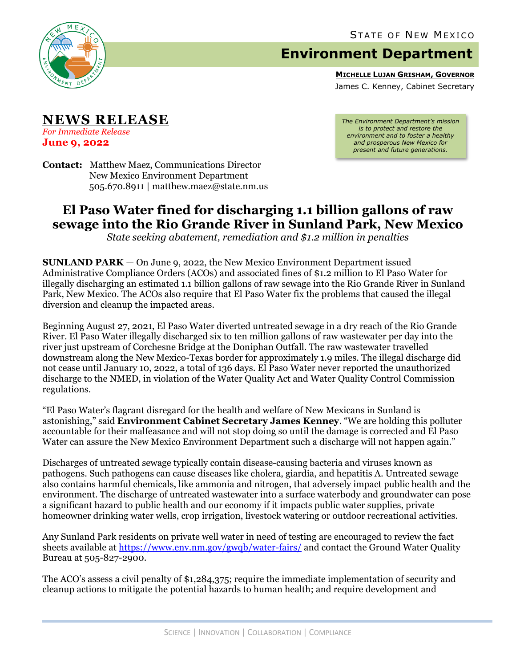

## **Environment Department**

**MICHELLE LUJAN GRISHAM, GOVERNOR**

James C. Kenney, Cabinet Secretary

**NEWS RELEASE**

*For Immediate Release* **June 9, 2022**

*The Environment Department's mission is to protect and restore the environment and to foster a healthy and prosperous New Mexico for present and future generations.*

**Contact:** Matthew Maez, Communications Director New Mexico Environment Department 505.670.8911 | matthew.maez@state.nm.us

## **El Paso Water fined for discharging 1.1 billion gallons of raw sewage into the Rio Grande River in Sunland Park, New Mexico**

*State seeking abatement, remediation and \$1.2 million in penalties*

**SUNLAND PARK** — On June 9, 2022, the New Mexico Environment Department issued Administrative Compliance Orders (ACOs) and associated fines of \$1.2 million to El Paso Water for illegally discharging an estimated 1.1 billion gallons of raw sewage into the Rio Grande River in Sunland Park, New Mexico. The ACOs also require that El Paso Water fix the problems that caused the illegal diversion and cleanup the impacted areas.

Beginning August 27, 2021, El Paso Water diverted untreated sewage in a dry reach of the Rio Grande River. El Paso Water illegally discharged six to ten million gallons of raw wastewater per day into the river just upstream of Corchesne Bridge at the Doniphan Outfall. The raw wastewater travelled downstream along the New Mexico-Texas border for approximately 1.9 miles. The illegal discharge did not cease until January 10, 2022, a total of 136 days. El Paso Water never reported the unauthorized discharge to the NMED, in violation of the Water Quality Act and Water Quality Control Commission regulations.

"El Paso Water's flagrant disregard for the health and welfare of New Mexicans in Sunland is astonishing," said **Environment Cabinet Secretary James Kenney**. "We are holding this polluter accountable for their malfeasance and will not stop doing so until the damage is corrected and El Paso Water can assure the New Mexico Environment Department such a discharge will not happen again."

Discharges of untreated sewage typically contain disease-causing bacteria and viruses known as pathogens. Such pathogens can cause diseases like cholera, giardia, and hepatitis A. Untreated sewage also contains harmful chemicals, like ammonia and nitrogen, that adversely impact public health and the environment. The discharge of untreated wastewater into a surface waterbody and groundwater can pose a significant hazard to public health and our economy if it impacts public water supplies, private homeowner drinking water wells, crop irrigation, livestock watering or outdoor recreational activities.

Any Sunland Park residents on private well water in need of testing are encouraged to review the fact sheets available at<https://www.env.nm.gov/gwqb/water-fairs/> and contact the Ground Water Quality Bureau at 505-827-2900.

The ACO's assess a civil penalty of \$1,284,375; require the immediate implementation of security and cleanup actions to mitigate the potential hazards to human health; and require development and